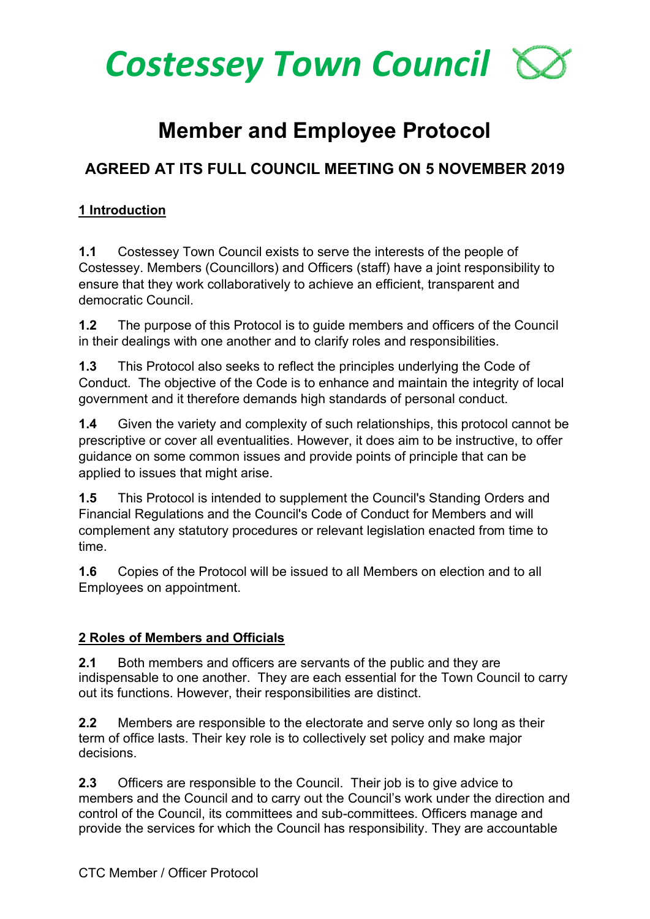

# **Member and Employee Protocol**

# **AGREED AT ITS FULL COUNCIL MEETING ON 5 NOVEMBER 2019**

#### **1 Introduction**

**1.1** Costessey Town Council exists to serve the interests of the people of Costessey. Members (Councillors) and Officers (staff) have a joint responsibility to ensure that they work collaboratively to achieve an efficient, transparent and democratic Council.

**1.2** The purpose of this Protocol is to guide members and officers of the Council in their dealings with one another and to clarify roles and responsibilities.

**1.3** This Protocol also seeks to reflect the principles underlying the Code of Conduct. The objective of the Code is to enhance and maintain the integrity of local government and it therefore demands high standards of personal conduct.

**1.4** Given the variety and complexity of such relationships, this protocol cannot be prescriptive or cover all eventualities. However, it does aim to be instructive, to offer guidance on some common issues and provide points of principle that can be applied to issues that might arise.

**1.5** This Protocol is intended to supplement the Council's Standing Orders and Financial Regulations and the Council's Code of Conduct for Members and will complement any statutory procedures or relevant legislation enacted from time to time.

**1.6** Copies of the Protocol will be issued to all Members on election and to all Employees on appointment.

#### **2 Roles of Members and Officials**

**2.1** Both members and officers are servants of the public and they are indispensable to one another. They are each essential for the Town Council to carry out its functions. However, their responsibilities are distinct.

**2.2** Members are responsible to the electorate and serve only so long as their term of office lasts. Their key role is to collectively set policy and make major decisions.

**2.3** Officers are responsible to the Council. Their job is to give advice to members and the Council and to carry out the Council's work under the direction and control of the Council, its committees and sub-committees. Officers manage and provide the services for which the Council has responsibility. They are accountable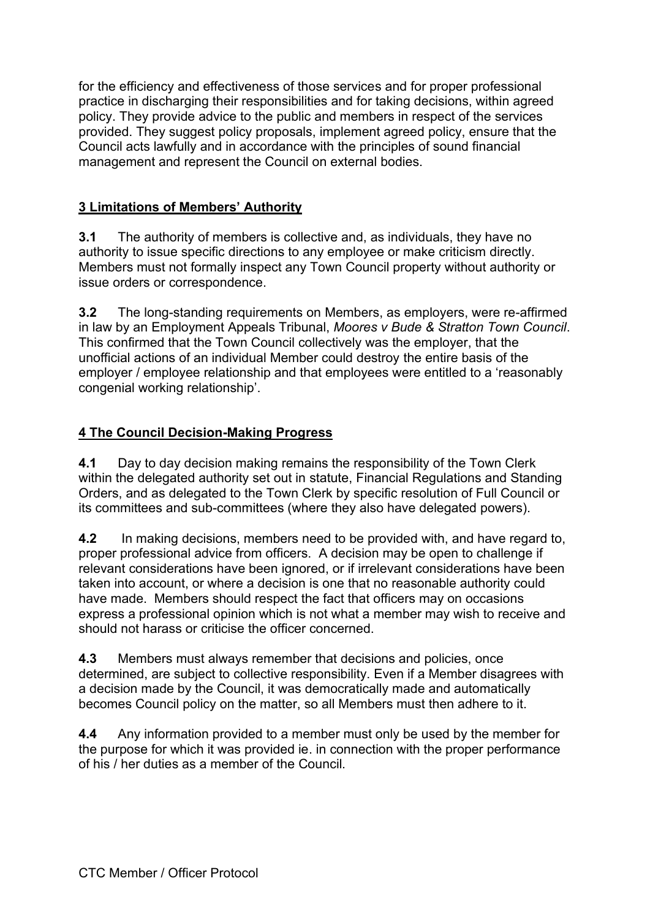for the efficiency and effectiveness of those services and for proper professional practice in discharging their responsibilities and for taking decisions, within agreed policy. They provide advice to the public and members in respect of the services provided. They suggest policy proposals, implement agreed policy, ensure that the Council acts lawfully and in accordance with the principles of sound financial management and represent the Council on external bodies.

#### **3 Limitations of Members' Authority**

**3.1** The authority of members is collective and, as individuals, they have no authority to issue specific directions to any employee or make criticism directly. Members must not formally inspect any Town Council property without authority or issue orders or correspondence.

**3.2** The long-standing requirements on Members, as employers, were re-affirmed in law by an Employment Appeals Tribunal, *Moores v Bude & Stratton Town Council*. This confirmed that the Town Council collectively was the employer, that the unofficial actions of an individual Member could destroy the entire basis of the employer / employee relationship and that employees were entitled to a 'reasonably congenial working relationship'.

#### **4 The Council Decision-Making Progress**

**4.1** Day to day decision making remains the responsibility of the Town Clerk within the delegated authority set out in statute, Financial Regulations and Standing Orders, and as delegated to the Town Clerk by specific resolution of Full Council or its committees and sub-committees (where they also have delegated powers).

**4.2** In making decisions, members need to be provided with, and have regard to, proper professional advice from officers. A decision may be open to challenge if relevant considerations have been ignored, or if irrelevant considerations have been taken into account, or where a decision is one that no reasonable authority could have made. Members should respect the fact that officers may on occasions express a professional opinion which is not what a member may wish to receive and should not harass or criticise the officer concerned.

**4.3** Members must always remember that decisions and policies, once determined, are subject to collective responsibility. Even if a Member disagrees with a decision made by the Council, it was democratically made and automatically becomes Council policy on the matter, so all Members must then adhere to it.

**4.4** Any information provided to a member must only be used by the member for the purpose for which it was provided ie. in connection with the proper performance of his / her duties as a member of the Council.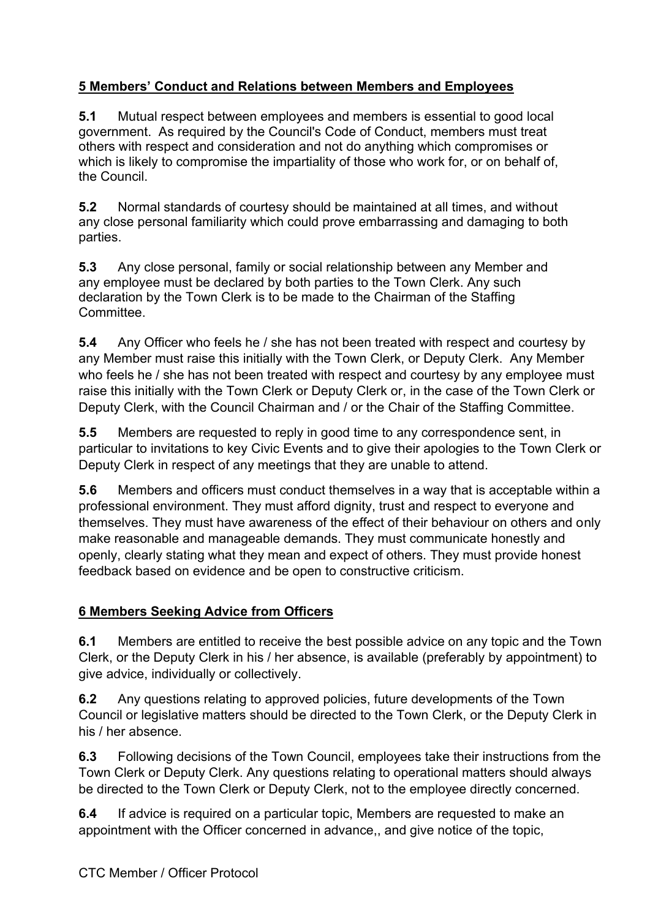# **5 Members' Conduct and Relations between Members and Employees**

**5.1** Mutual respect between employees and members is essential to good local government. As required by the Council's Code of Conduct, members must treat others with respect and consideration and not do anything which compromises or which is likely to compromise the impartiality of those who work for, or on behalf of, the Council.

**5.2** Normal standards of courtesy should be maintained at all times, and without any close personal familiarity which could prove embarrassing and damaging to both parties.

**5.3** Any close personal, family or social relationship between any Member and any employee must be declared by both parties to the Town Clerk. Any such declaration by the Town Clerk is to be made to the Chairman of the Staffing Committee.

**5.4** Any Officer who feels he / she has not been treated with respect and courtesy by any Member must raise this initially with the Town Clerk, or Deputy Clerk. Any Member who feels he / she has not been treated with respect and courtesy by any employee must raise this initially with the Town Clerk or Deputy Clerk or, in the case of the Town Clerk or Deputy Clerk, with the Council Chairman and / or the Chair of the Staffing Committee.

**5.5** Members are requested to reply in good time to any correspondence sent, in particular to invitations to key Civic Events and to give their apologies to the Town Clerk or Deputy Clerk in respect of any meetings that they are unable to attend.

**5.6** Members and officers must conduct themselves in a way that is acceptable within a professional environment. They must afford dignity, trust and respect to everyone and themselves. They must have awareness of the effect of their behaviour on others and only make reasonable and manageable demands. They must communicate honestly and openly, clearly stating what they mean and expect of others. They must provide honest feedback based on evidence and be open to constructive criticism.

## **6 Members Seeking Advice from Officers**

**6.1** Members are entitled to receive the best possible advice on any topic and the Town Clerk, or the Deputy Clerk in his / her absence, is available (preferably by appointment) to give advice, individually or collectively.

**6.2** Any questions relating to approved policies, future developments of the Town Council or legislative matters should be directed to the Town Clerk, or the Deputy Clerk in his / her absence.

**6.3** Following decisions of the Town Council, employees take their instructions from the Town Clerk or Deputy Clerk. Any questions relating to operational matters should always be directed to the Town Clerk or Deputy Clerk, not to the employee directly concerned.

**6.4** If advice is required on a particular topic, Members are requested to make an appointment with the Officer concerned in advance,, and give notice of the topic,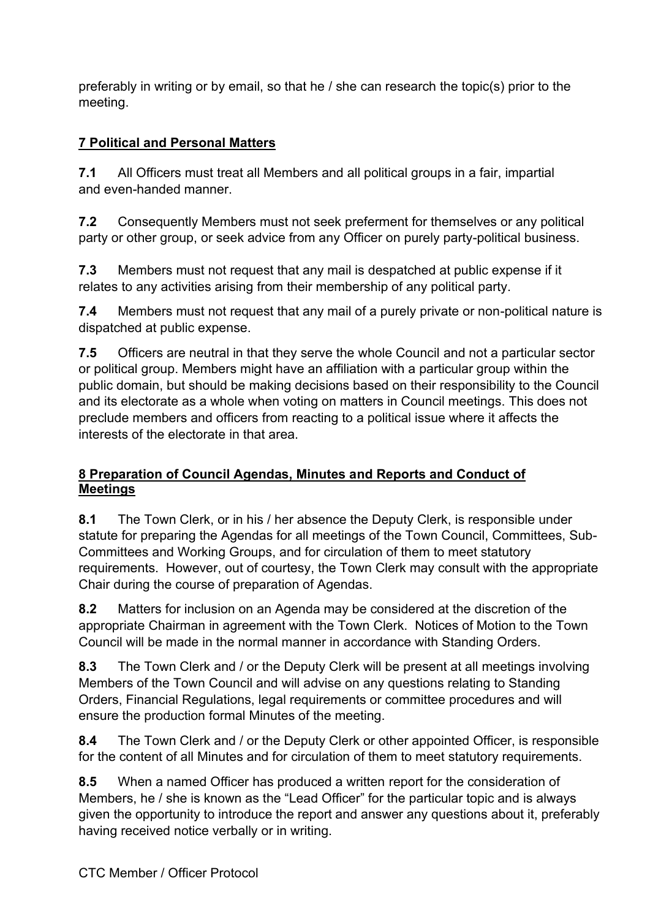preferably in writing or by email, so that he / she can research the topic(s) prior to the meeting.

# **7 Political and Personal Matters**

**7.1** All Officers must treat all Members and all political groups in a fair, impartial and even-handed manner.

**7.2** Consequently Members must not seek preferment for themselves or any political party or other group, or seek advice from any Officer on purely party-political business.

**7.3** Members must not request that any mail is despatched at public expense if it relates to any activities arising from their membership of any political party.

**7.4** Members must not request that any mail of a purely private or non-political nature is dispatched at public expense.

**7.5** Officers are neutral in that they serve the whole Council and not a particular sector or political group. Members might have an affiliation with a particular group within the public domain, but should be making decisions based on their responsibility to the Council and its electorate as a whole when voting on matters in Council meetings. This does not preclude members and officers from reacting to a political issue where it affects the interests of the electorate in that area.

#### **8 Preparation of Council Agendas, Minutes and Reports and Conduct of Meetings**

**8.1** The Town Clerk, or in his / her absence the Deputy Clerk, is responsible under statute for preparing the Agendas for all meetings of the Town Council, Committees, Sub-Committees and Working Groups, and for circulation of them to meet statutory requirements. However, out of courtesy, the Town Clerk may consult with the appropriate Chair during the course of preparation of Agendas.

**8.2** Matters for inclusion on an Agenda may be considered at the discretion of the appropriate Chairman in agreement with the Town Clerk. Notices of Motion to the Town Council will be made in the normal manner in accordance with Standing Orders.

**8.3** The Town Clerk and / or the Deputy Clerk will be present at all meetings involving Members of the Town Council and will advise on any questions relating to Standing Orders, Financial Regulations, legal requirements or committee procedures and will ensure the production formal Minutes of the meeting.

**8.4** The Town Clerk and / or the Deputy Clerk or other appointed Officer, is responsible for the content of all Minutes and for circulation of them to meet statutory requirements.

**8.5** When a named Officer has produced a written report for the consideration of Members, he / she is known as the "Lead Officer" for the particular topic and is always given the opportunity to introduce the report and answer any questions about it, preferably having received notice verbally or in writing.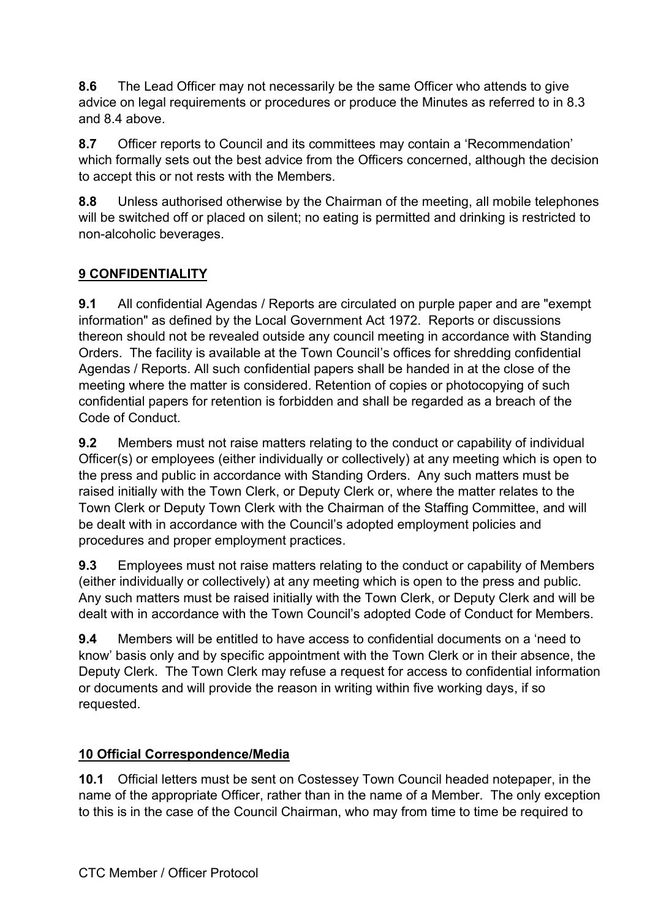**8.6** The Lead Officer may not necessarily be the same Officer who attends to give advice on legal requirements or procedures or produce the Minutes as referred to in 8.3 and 8.4 above.

**8.7** Officer reports to Council and its committees may contain a 'Recommendation' which formally sets out the best advice from the Officers concerned, although the decision to accept this or not rests with the Members.

**8.8** Unless authorised otherwise by the Chairman of the meeting, all mobile telephones will be switched off or placed on silent; no eating is permitted and drinking is restricted to non-alcoholic beverages.

# **9 CONFIDENTIALITY**

**9.1** All confidential Agendas / Reports are circulated on purple paper and are "exempt information" as defined by the Local Government Act 1972. Reports or discussions thereon should not be revealed outside any council meeting in accordance with Standing Orders. The facility is available at the Town Council's offices for shredding confidential Agendas / Reports. All such confidential papers shall be handed in at the close of the meeting where the matter is considered. Retention of copies or photocopying of such confidential papers for retention is forbidden and shall be regarded as a breach of the Code of Conduct.

**9.2** Members must not raise matters relating to the conduct or capability of individual Officer(s) or employees (either individually or collectively) at any meeting which is open to the press and public in accordance with Standing Orders. Any such matters must be raised initially with the Town Clerk, or Deputy Clerk or, where the matter relates to the Town Clerk or Deputy Town Clerk with the Chairman of the Staffing Committee, and will be dealt with in accordance with the Council's adopted employment policies and procedures and proper employment practices.

**9.3** Employees must not raise matters relating to the conduct or capability of Members (either individually or collectively) at any meeting which is open to the press and public. Any such matters must be raised initially with the Town Clerk, or Deputy Clerk and will be dealt with in accordance with the Town Council's adopted Code of Conduct for Members.

**9.4** Members will be entitled to have access to confidential documents on a 'need to know' basis only and by specific appointment with the Town Clerk or in their absence, the Deputy Clerk. The Town Clerk may refuse a request for access to confidential information or documents and will provide the reason in writing within five working days, if so requested.

## **10 Official Correspondence/Media**

**10.1** Official letters must be sent on Costessey Town Council headed notepaper, in the name of the appropriate Officer, rather than in the name of a Member. The only exception to this is in the case of the Council Chairman, who may from time to time be required to